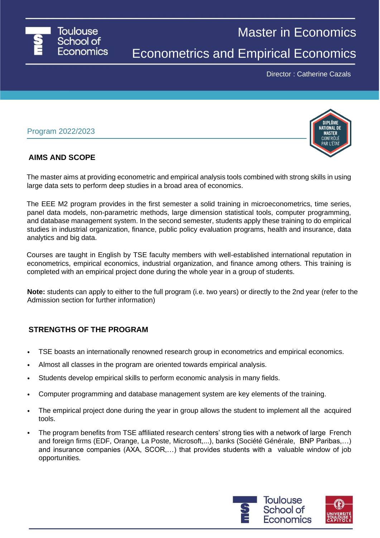

Master in Economics

Econometrics and Empirical Economics

Director : Catherine Cazals

## Program 2022/2023

## **AIMS AND SCOPE**

The master aims at providing econometric and empirical analysis tools combined with strong skills in using large data sets to perform deep studies in a broad area of economics.

The EEE M2 program provides in the first semester a solid training in microeconometrics, time series, panel data models, non-parametric methods, large dimension statistical tools, computer programming, and database management system. In the second semester, students apply these training to do empirical studies in industrial organization, finance, public policy evaluation programs, health and insurance, data analytics and big data.

Courses are taught in English by TSE faculty members with well-established international reputation in econometrics, empirical economics, industrial organization, and finance among others. This training is completed with an empirical project done during the whole year in a group of students.

**Note:** students can apply to either to the full program (i.e. two years) or directly to the 2nd year (refer to the Admission section for further information)

## **STRENGTHS OF THE PROGRAM**

- TSE boasts an internationally renowned research group in econometrics and empirical economics.
- Almost all classes in the program are oriented towards empirical analysis.
- Students develop empirical skills to perform economic analysis in many fields.
- Computer programming and database management system are key elements of the training.
- The empirical project done during the year in group allows the student to implement all the acquired tools.
- The program benefits from TSE affiliated research centers' strong ties with a network of large French and foreign firms (EDF, Orange, La Poste, Microsoft,...), banks (Société Générale, BNP Paribas,…) and insurance companies (AXA, SCOR,…) that provides students with a valuable window of job opportunities.

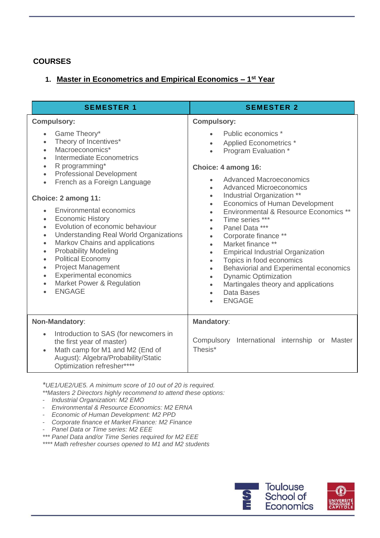# **COURSES**

# **1. Master in Econometrics and Empirical Economics – 1 st Year**

| <b>SEMESTER 1</b>                                                                                                                                                                                                                                                                                                                                                                                                                                                                                                                                                                                                                                                                                                                                                                                              | <b>SEMESTER 2</b>                                                                                                                                                                                                                                                                                                                                                                                                                                                                                                                                                                                                                                                                                                                                                                                                        |
|----------------------------------------------------------------------------------------------------------------------------------------------------------------------------------------------------------------------------------------------------------------------------------------------------------------------------------------------------------------------------------------------------------------------------------------------------------------------------------------------------------------------------------------------------------------------------------------------------------------------------------------------------------------------------------------------------------------------------------------------------------------------------------------------------------------|--------------------------------------------------------------------------------------------------------------------------------------------------------------------------------------------------------------------------------------------------------------------------------------------------------------------------------------------------------------------------------------------------------------------------------------------------------------------------------------------------------------------------------------------------------------------------------------------------------------------------------------------------------------------------------------------------------------------------------------------------------------------------------------------------------------------------|
| <b>Compulsory:</b><br>Game Theory*<br>$\bullet$<br>Theory of Incentives*<br>$\bullet$<br>Macroeconomics*<br>$\bullet$<br>Intermediate Econometrics<br>$\bullet$<br>R programming*<br>$\bullet$<br><b>Professional Development</b><br>$\bullet$<br>French as a Foreign Language<br>$\bullet$<br>Choice: 2 among 11:<br><b>Environmental economics</b><br>$\bullet$<br><b>Economic History</b><br>$\bullet$<br>Evolution of economic behaviour<br>$\bullet$<br><b>Understanding Real World Organizations</b><br>$\bullet$<br>Markov Chains and applications<br>$\bullet$<br><b>Probability Modeling</b><br>$\bullet$<br><b>Political Economy</b><br>$\bullet$<br><b>Project Management</b><br>$\bullet$<br><b>Experimental economics</b><br>$\bullet$<br>Market Power & Regulation<br>$\bullet$<br><b>ENGAGE</b> | <b>Compulsory:</b><br>Public economics *<br><b>Applied Econometrics *</b><br>$\bullet$<br>Program Evaluation *<br>Choice: 4 among 16:<br><b>Advanced Macroeconomics</b><br><b>Advanced Microeconomics</b><br>$\bullet$<br>Industrial Organization **<br>$\bullet$<br><b>Economics of Human Development</b><br>$\bullet$<br>Environmental & Resource Economics **<br>$\bullet$<br>Time series ***<br>$\bullet$<br>Panel Data ***<br>$\bullet$<br>Corporate finance **<br>$\bullet$<br>Market finance **<br>$\bullet$<br><b>Empirical Industrial Organization</b><br>$\bullet$<br>Topics in food economics<br>$\bullet$<br>Behaviorial and Experimental economics<br>$\bullet$<br><b>Dynamic Optimization</b><br>$\bullet$<br>Martingales theory and applications<br>$\bullet$<br>Data Bases<br>$\bullet$<br><b>ENGAGE</b> |
| Non-Mandatory:<br>Introduction to SAS (for newcomers in<br>$\bullet$<br>the first year of master)<br>Math camp for M1 and M2 (End of<br>$\bullet$<br>August): Algebra/Probability/Static<br>Optimization refresher****                                                                                                                                                                                                                                                                                                                                                                                                                                                                                                                                                                                         | <b>Mandatory:</b><br>Compulsory International internship or<br>Master<br>Thesis*                                                                                                                                                                                                                                                                                                                                                                                                                                                                                                                                                                                                                                                                                                                                         |

*\*UE1/UE2/UE5. A minimum score of 10 out of 20 is required.*

- *\*\*Masters 2 Directors highly recommend to attend these options:*
- *- Industrial Organization: M2 EMO*
- *- Environmental & Resource Economics: M2 ERNA*
- *- Economic of Human Development: M2 PPD*
- *- Corporate finance et Market Finance: M2 Finance*
- *- Panel Data or Time series: M2 EEE*
- *\*\*\* Panel Data and/or Time Series required for M2 EEE*

*\*\*\*\* Math refresher courses opened to M1 and M2 students*

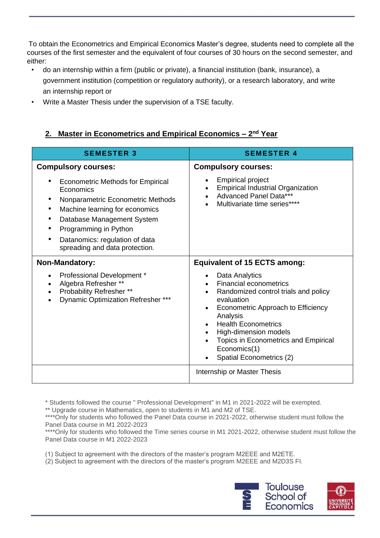To obtain the Econometrics and Empirical Economics Master's degree, students need to complete all the courses of the first semester and the equivalent of four courses of 30 hours on the second semester, and either:

- do an internship within a firm (public or private), a financial institution (bank, insurance), a government institution (competition or regulatory authority), or a research laboratory, and write an internship report or
- Write a Master Thesis under the supervision of a TSE faculty.

# **2. Master in Econometrics and Empirical Economics – 2 nd Year**

| <b>SEMESTER 3</b>                                                                                                                                                                                                                                                              | <b>SEMESTER 4</b>                                                                                                                                                                                                                                                                                               |
|--------------------------------------------------------------------------------------------------------------------------------------------------------------------------------------------------------------------------------------------------------------------------------|-----------------------------------------------------------------------------------------------------------------------------------------------------------------------------------------------------------------------------------------------------------------------------------------------------------------|
| <b>Compulsory courses:</b><br>Econometric Methods for Empirical<br>Economics<br>Nonparametric Econometric Methods<br>Machine learning for economics<br>Database Management System<br>Programming in Python<br>Datanomics: regulation of data<br>spreading and data protection. | <b>Compulsory courses:</b><br><b>Empirical project</b><br><b>Empirical Industrial Organization</b><br>$\bullet$<br>Advanced Panel Data***<br>Multivariate time series****                                                                                                                                       |
| <b>Non-Mandatory:</b>                                                                                                                                                                                                                                                          | <b>Equivalent of 15 ECTS among:</b>                                                                                                                                                                                                                                                                             |
| Professional Development *<br>Algebra Refresher **<br>Probability Refresher **<br>Dynamic Optimization Refresher ***                                                                                                                                                           | Data Analytics<br><b>Financial econometrics</b><br>Randomized control trials and policy<br>evaluation<br>Econometric Approach to Efficiency<br>Analysis<br><b>Health Econometrics</b><br>High-dimension models<br>$\bullet$<br>Topics in Econometrics and Empirical<br>Economics(1)<br>Spatial Econometrics (2) |
|                                                                                                                                                                                                                                                                                | Internship or Master Thesis                                                                                                                                                                                                                                                                                     |

\* Students followed the course " Professional Development" in M1 in 2021-2022 will be exempted.

\*\* Upgrade course in Mathematics, open to students in M1 and M2 of TSE.

\*\*\*\*Only for students who followed the Panel Data course in 2021-2022, otherwise student must follow the Panel Data course in M1 2022-2023

\*\*\*\*Only for students who followed the Time series course in M1 2021-2022, otherwise student must follow the Panel Data course in M1 2022-2023

(1) Subject to agreement with the directors of the master's program M2EEE and M2ETE.

(2) Subject to agreement with the directors of the master's program M2EEE and M2D3S FI.